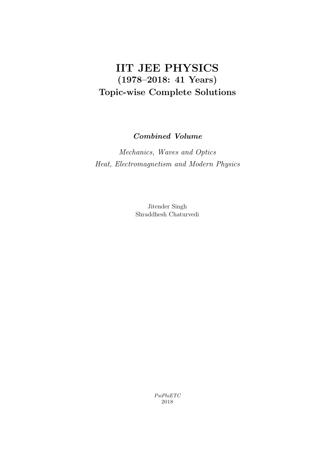## IIT JEE PHYSICS (1978–2018: 41 Years) Topic-wise Complete Solutions

*Combined Volume*

*Mechanics, Waves and Optics Heat, Electromagnetism and Modern Physics*

> Jitender Singh Shraddhesh Chaturvedi

> > *PsiPhiETC* 2018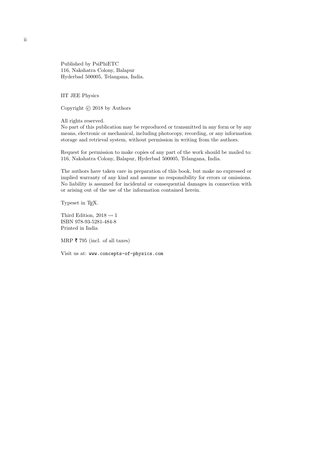Published by PsiPhiETC 116, Nakshatra Colony, Balapur Hyderbad 500005, Telangana, India.

IIT JEE Physics

Copyright  $\odot$  2018 by Authors

All rights reserved.

No part of this publication may be reproduced or transmitted in any form or by any means, electronic or mechanical, including photocopy, recording, or any information storage and retrieval system, without permission in writing from the authors.

Request for permission to make copies of any part of the work should be mailed to: 116, Nakshatra Colony, Balapur, Hyderbad 500005, Telangana, India.

The authors have taken care in preparation of this book, but make no expressed or implied warranty of any kind and assume no responsibility for errors or omissions. No liability is assumed for incidental or consequential damages in connection with or arising out of the use of the information contained herein.

Typeset in TEX.

Third Edition, 2018  $\rightsquigarrow$  1 ISBN 978-93-5281-484-8 Printed in India

MRP  $\bar{\tau}$  795 (incl. of all taxes)

Visit us at: www.concepts-of-physics.com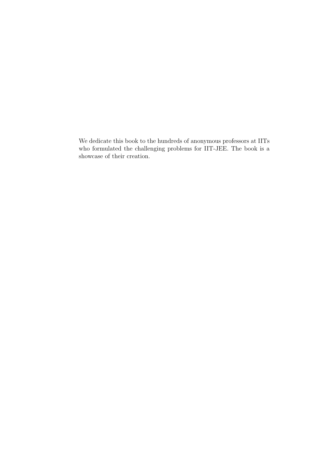We dedicate this book to the hundreds of anonymous professors at IITs who formulated the challenging problems for IIT-JEE. The book is a showcase of their creation.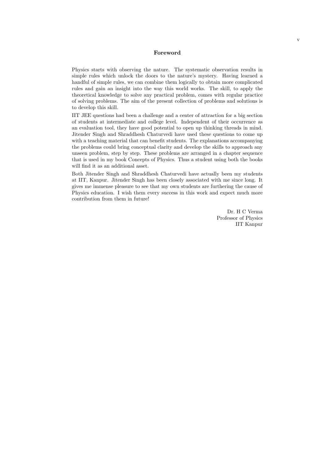## Foreword

Physics starts with observing the nature. The systematic observation results in simple rules which unlock the doors to the nature's mystery. Having learned a handful of simple rules, we can combine them logically to obtain more complicated rules and gain an insight into the way this world works. The skill, to apply the theoretical knowledge to solve any practical problem, comes with regular practice of solving problems. The aim of the present collection of problems and solutions is to develop this skill.

IIT JEE questions had been a challenge and a center of attraction for a big section of students at intermediate and college level. Independent of their occurrence as an evaluation tool, they have good potential to open up thinking threads in mind. Jitender Singh and Shraddhesh Chaturvedi have used these questions to come up with a teaching material that can benefit students. The explanations accompanying the problems could bring conceptual clarity and develop the skills to approach any unseen problem, step by step. These problems are arranged in a chapter sequence that is used in my book Concepts of Physics. Thus a student using both the books will find it as an additional asset.

Both Jitender Singh and Shraddhesh Chaturvedi have actually been my students at IIT, Kanpur. Jitender Singh has been closely associated with me since long. It gives me immense pleasure to see that my own students are furthering the cause of Physics education. I wish them every success in this work and expect much more contribution from them in future!

> Dr. H C Verma Professor of Physics IIT Kanpur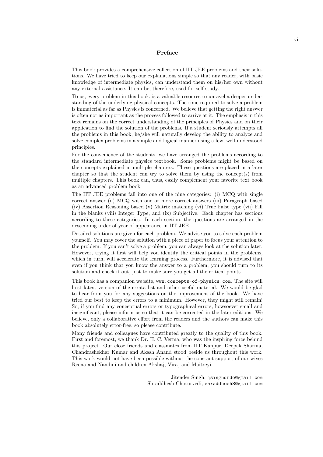## Preface

This book provides a comprehensive collection of IIT JEE problems and their solutions. We have tried to keep our explanations simple so that any reader, with basic knowledge of intermediate physics, can understand them on his/her own without any external assistance. It can be, therefore, used for self-study.

To us, every problem in this book, is a valuable resource to unravel a deeper understanding of the underlying physical concepts. The time required to solve a problem is immaterial as far as Physics is concerned. We believe that getting the right answer is often not as important as the process followed to arrive at it. The emphasis in this text remains on the correct understanding of the principles of Physics and on their application to find the solution of the problems. If a student seriously attempts all the problems in this book, he/she will naturally develop the ability to analyze and solve complex problems in a simple and logical manner using a few, well-understood principles.

For the convenience of the students, we have arranged the problems according to the standard intermediate physics textbook. Some problems might be based on the concepts explained in multiple chapters. These questions are placed in a later chapter so that the student can try to solve them by using the concept(s) from multiple chapters. This book can, thus, easily complement your favorite text book as an advanced problem book.

The IIT JEE problems fall into one of the nine categories: (i) MCQ with single correct answer (ii) MCQ with one or more correct answers (iii) Paragraph based (iv) Assertion Reasoning based (v) Matrix matching (vi) True False type (vii) Fill in the blanks (viii) Integer Type, and (ix) Subjective. Each chapter has sections according to these categories. In each section, the questions are arranged in the descending order of year of appearance in IIT JEE.

Detailed solutions are given for each problem. We advise you to solve each problem yourself. You may cover the solution with a piece of paper to focus your attention to the problem. If you can't solve a problem, you can always look at the solution later. However, trying it first will help you identify the critical points in the problems, which in turn, will accelerate the learning process. Furthermore, it is advised that even if you think that you know the answer to a problem, you should turn to its solution and check it out, just to make sure you get all the critical points.

This book has a companion website, www.concepts-of-physics.com. The site will host latest version of the errata list and other useful material. We would be glad to hear from you for any suggestions on the improvement of the book. We have tried our best to keep the errors to a minimum. However, they might still remain! So, if you find any conceptual errors or typographical errors, howsoever small and insignificant, please inform us so that it can be corrected in the later editions. We believe, only a collaborative effort from the readers and the authors can make this book absolutely error-free, so please contribute.

Many friends and colleagues have contributed greatly to the quality of this book. First and foremost, we thank Dr. H. C. Verma, who was the inspiring force behind this project. Our close friends and classmates from IIT Kanpur, Deepak Sharma, Chandrashekhar Kumar and Akash Anand stood beside us throughout this work. This work would not have been possible without the constant support of our wives Reena and Nandini and children Akshaj, Viraj and Maitreyi.

> Jitender Singh, jsinghdrdo@gmail.com Shraddhesh Chaturvedi, shraddhesh8@gmail.com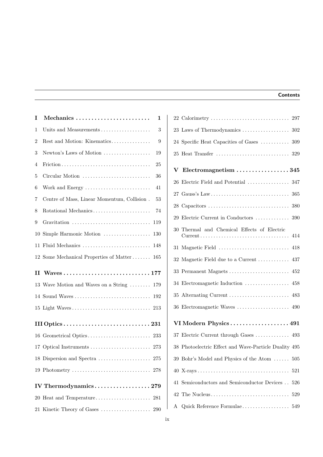## **Contents**

| I              | Mechanics                                                                          | $\mathbf{1}$ |
|----------------|------------------------------------------------------------------------------------|--------------|
| 1              | Units and Measurements                                                             | 3            |
| 2              | Rest and Motion: Kinematics                                                        | 9            |
| 3              | Newton's Laws of Motion                                                            | 19           |
| $\overline{4}$ | $Friction \dots \dots \dots \dots \dots \dots \dots \dots \dots \dots \dots \dots$ | 25           |
| 5              | Circular Motion                                                                    | 36           |
| 6              | Work and Energy                                                                    | 41           |
| 7              | Centre of Mass, Linear Momentum, Collision.                                        | 53           |
| 8              | Rotational Mechanics                                                               | 74           |
| 9              | Gravitation                                                                        | 119          |
| 10             | Simple Harmonic Motion                                                             | 130          |
| 11             | Fluid Mechanics                                                                    | 148          |
|                | 12 Some Mechanical Properties of Matter                                            | 165          |
|                |                                                                                    |              |
|                | 13 Wave Motion and Waves on a String  179                                          |              |
|                |                                                                                    |              |
|                |                                                                                    | 192          |
|                |                                                                                    |              |
|                |                                                                                    |              |
|                |                                                                                    |              |
|                |                                                                                    |              |
|                |                                                                                    |              |
|                |                                                                                    |              |
|                |                                                                                    |              |
|                | IV Thermodynamics279                                                               |              |
|                |                                                                                    |              |

|   | 22 Calorimetry                                                                         | 297 |
|---|----------------------------------------------------------------------------------------|-----|
|   | 23 Laws of Thermodynamics                                                              | 302 |
|   | 24 Specific Heat Capacities of Gases                                                   | 309 |
|   | 25 Heat Transfer                                                                       | 329 |
|   |                                                                                        |     |
| V | Electromagnetism $\ldots \ldots \ldots \ldots \ldots 345$                              |     |
|   | 26 Electric Field and Potential                                                        | 347 |
|   |                                                                                        | 365 |
|   |                                                                                        | 380 |
|   | 29 Electric Current in Conductors                                                      | 390 |
|   | 30 Thermal and Chemical Effects of Electric                                            |     |
|   | $Current \ldots \ldots \ldots \ldots \ldots \ldots \ldots \ldots \ldots \ldots \ldots$ | 414 |
|   | 31 Magnetic Field                                                                      | 418 |
|   | 32 Magnetic Field due to a Current                                                     | 437 |
|   | 33 Permanent Magnets                                                                   | 452 |
|   | 34 Electromagnetic Induction                                                           | 458 |
|   | 35 Alternating Current                                                                 | 483 |
|   | 36 Electromagnetic Waves                                                               | 490 |
|   | VI Modern Physics 491                                                                  |     |
|   |                                                                                        |     |
|   | 37 Electric Current through Gases  493                                                 |     |
|   | 38 Photoelectric Effect and Wave-Particle Duality 495                                  |     |
|   | 39 Bohr's Model and Physics of the Atom  505                                           |     |
|   |                                                                                        | 521 |
|   | 41 Semiconductors and Semiconductor Devices                                            | 526 |
|   | 42 The Nucleus                                                                         | 529 |
| А | Quick Reference Formulae                                                               | 549 |
|   |                                                                                        |     |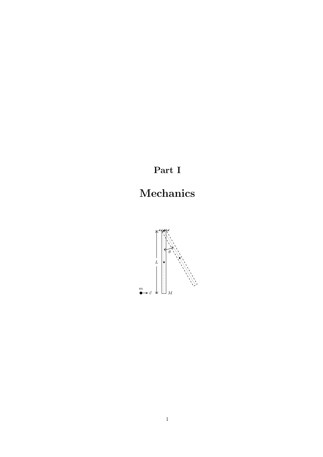# Part I

# Mechanics

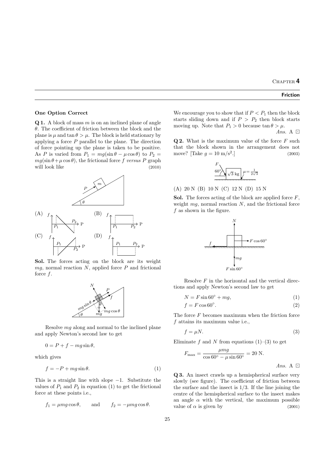#### Friction

#### One Option Correct

Q 1. A block of mass *m* is on an inclined plane of angle  $\theta$ . The coefficient of friction between the block and the plane is  $\mu$  and  $\tan \theta > \mu$ . The block is held stationary by applying a force *P* parallel to the plane. The direction of force pointing up the plane is taken to be positive. As *P* is varied from  $P_1 = mg(\sin \theta - \mu \cos \theta)$  to  $P_2 =$  $mg(\sin \theta + \mu \cos \theta)$ , the frictional force *f versus P* graph will look like (2010)



Sol. The forces acting on the block are its weight *mg*, normal reaction *N*, applied force *P* and frictional force *f*.



Resolve *mg* along and normal to the inclined plane and apply Newton's second law to get

$$
0 = P + f - mg\sin\theta,
$$

which gives

$$
f = -P + mg\sin\theta.
$$
 (1)

This is a straight line with slope  $-1$ . Substitute the values of  $P_1$  and  $P_2$  in equation (1) to get the frictional force at these points i.e.,

$$
f_1 = \mu mg \cos \theta
$$
, and  $f_2 = -\mu mg \cos \theta$ .

We encourage you to show that if  $P < P_1$  then the block starts sliding down and if  $P > P_2$  then block starts moving up. Note that  $P_1 > 0$  because  $\tan \theta > \mu$ . *Ans.* A

Q 2. What is the maximum value of the force *F* such that the block shown in the arrangement does not move? [Take  $q = 10 \text{ m/s}^2$ .] (2003)



(A) 20 N (B) 10 N (C) 12 N (D) 15 N

Sol. The forces acting of the block are applied force *F*, weight *mg*, normal reaction *N*, and the frictional force *f* as shown in the figure.



Resolve *F* in the horizontal and the vertical directions and apply Newton's second law to get

$$
N = F\sin 60^{\circ} + mg,\tag{1}
$$

$$
f = F\cos 60^{\circ}.
$$
 (2)

The force *F* becomes maximum when the friction force *f* attains its maximum value i.e.,

$$
f = \mu N. \tag{3}
$$

Eliminate  $f$  and  $N$  from equations  $(1)$ – $(3)$  to get

$$
F_{\text{max}} = \frac{\mu mg}{\cos 60^\circ - \mu \sin 60^\circ} = 20 \text{ N}.
$$
  
Ans. A  $\Box$ 

Q 3. An insect crawls up a hemispherical surface very slowly (see figure). The coefficient of friction between the surface and the insect is 1*/*3. If the line joining the centre of the hemispherical surface to the insect makes an angle  $\alpha$  with the vertical, the maximum possible value of  $\alpha$  is given by (2001)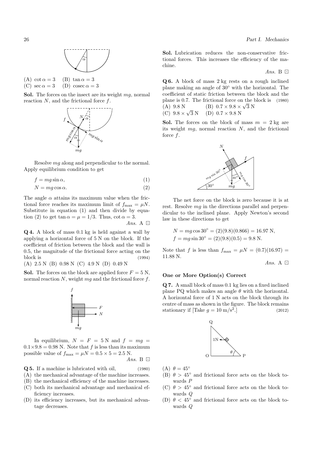

(A) cot  $\alpha = 3$  (B) tan  $\alpha = 3$ (C) sec  $\alpha = 3$  (D) cosec  $\alpha = 3$ 

Sol. The forces on the insect are its weight *mg*, normal reaction *N*, and the frictional force *f*.



Resolve *mg* along and perpendicular to the normal. Apply equilibrium condition to get

$$
f = mg\sin\alpha,\tag{1}
$$

$$
N = mg\cos\alpha.\tag{2}
$$

The angle  $\alpha$  attains its maximum value when the frictional force reaches its maximum limit of  $f_{\text{max}} = \mu N$ . Substitute in equation (1) and then divide by equation (2) to get  $\tan \alpha = \mu = 1/3$ . Thus,  $\cot \alpha = 3$ . Ans. A  $\Box$ 

Q 4. A block of mass 0*.*1 kg is held against a wall by applying a horizontal force of 5 N on the block. If the coefficient of friction between the block and the wall is 0*.*5, the magnitude of the frictional force acting on the  $block$  is (1994)

(A) 2*.*5 N (B) 0*.*98 N (C) 4*.*9 N (D) 0*.*49 N

**Sol.** The forces on the block are applied force  $F = 5$  N, normal reaction *N*, weight *mg* and the frictional force *f*.



In equilibrium,  $N = F = 5 N$  and  $f = mg =$  $0.1 \times 9.8 = 0.98$  N. Note that *f* is less than its maximum possible value of  $f_{\text{max}} = \mu N = 0.5 \times 5 = 2.5$  N.

*Ans.* B

Q 5. If a machine is lubricated with oil, (1980)

- (A) the mechanical advantage of the machine increases.
- (B) the mechanical efficiency of the machine increases.
- (C) both its mechanical advantage and mechanical efficiency increases.
- (D) its efficiency increases, but its mechanical advantage decreases.

26 *Part I. Mechanics*

Sol. Lubrication reduces the non-conservative frictional forces. This increases the efficiency of the machine.

*Ans.* B

Q 6. A block of mass 2 kg rests on a rough inclined plane making an angle of  $30^{\circ}$  with the horizontal. The coefficient of static friction between the block and the plane is 0*.*7. The frictional force on the block is (1980) (A)  $9.8 \text{ N}$  (B)  $0.7 \times 9.8 \times \sqrt{3} \text{ N}$ <br>(C)  $9.8 \times \sqrt{3} \text{ N}$  (D)  $0.7 \times 9.8 \text{ N}$ 

(D)  $0.7 \times 9.8$  N

**Sol.** The forces on the block of mass  $m = 2$  kg are its weight *mg*, normal reaction *N*, and the frictional force *f*.



The net force on the block is zero because it is at rest. Resolve *mg* in the directions parallel and perpendicular to the inclined plane. Apply Newton's second law in these directions to get

$$
N = mg \cos 30^{\circ} = (2)(9.8)(0.866) = 16.97 \text{ N},
$$
  

$$
f = mg \sin 30^{\circ} = (2)(9.8)(0.5) = 9.8 \text{ N}.
$$

Note that *f* is less than  $f_{\text{max}} = \mu N = (0.7)(16.97)$ 11*.*88 N.

Ans. A  $\Box$ 

#### One or More Option(s) Correct

Q 7. A small block of mass 0*.*1 kg lies on a fixed inclined plane PQ which makes an angle  $\theta$  with the horizontal. A horizontal force of 1 N acts on the block through its centre of mass as shown in the figure. The block remains stationary if  $\lceil \text{Take } g = 10 \text{ m/s}^2 \rceil$  (2012)



(A)  $\theta = 45^{\circ}$ 

- (B)  $\theta > 45^{\circ}$  and frictional force acts on the block towards *P*
- (C)  $\theta > 45^{\circ}$  and frictional force acts on the block towards *Q*
- (D)  $\theta$  < 45° and frictional force acts on the block towards *Q*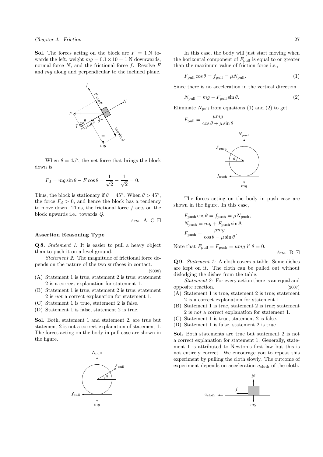**Sol.** The forces acting on the block are  $F = 1$  N towards the left, weight  $mq = 0.1 \times 10 = 1$  N downwards. normal force *N*, and the frictional force *f*. Resolve *F* and *mg* along and perpendicular to the inclined plane.



When  $\theta = 45^{\circ}$ , the net force that brings the block down is

$$
F_{\rm d} = mg \sin \theta - F \cos \theta = \frac{1}{\sqrt{2}} - \frac{1}{\sqrt{2}} = 0.
$$

Thus, the block is stationary if  $\theta = 45^{\circ}$ . When  $\theta > 45^{\circ}$ , the force  $F_d > 0$ , and hence the block has a tendency to move down. Thus, the frictional force *f* acts on the block upwards i.e., towards *Q*.

*Ans.* A, C

#### Assertion Reasoning Type

Q 8. *Statement 1:* It is easier to pull a heavy object than to push it on a level ground.

*Statement 2:* The magnitude of frictional force depends on the nature of the two surfaces in contact.

(2008)

- (A) Statement 1 is true, statement 2 is true; statement 2 is a correct explanation for statement 1.
- (B) Statement 1 is true, statement 2 is true; statement 2 is *not* a correct explanation for statement 1.
- (C) Statement 1 is true, statement 2 is false.
- (D) Statement 1 is false, statement 2 is true.

Sol. Both, statement 1 and statement 2, are true but statement 2 is not a correct explanation of statement 1. The forces acting on the body in pull case are shown in the figure.



In this case, the body will just start moving when the horizontal component of  $F_{\text{pull}}$  is equal to or greater than the maximum value of friction force i.e.,

$$
F_{\text{pull}} \cos \theta = f_{\text{pull}} = \mu N_{\text{pull}}.\tag{1}
$$

Since there is no acceleration in the vertical direction

$$
N_{\text{pull}} = mg - F_{\text{pull}} \sin \theta. \tag{2}
$$

Eliminate  $N_{\text{pull}}$  from equations (1) and (2) to get

$$
F_{\text{pull}} = \frac{\mu mg}{\cos \theta + \mu \sin \theta}.
$$
  
*N<sub>push</sub>*



The forces acting on the body in push case are shown in the figure. In this case,

$$
F_{\text{push}} \cos \theta = f_{\text{push}} = \mu N_{\text{push}},
$$
  

$$
N_{\text{push}} = mg + F_{\text{push}} \sin \theta,
$$
  

$$
F_{\text{push}} = \frac{\mu mg}{\cos \theta - \mu \sin \theta}.
$$

Note that  $F_{\text{pull}} = F_{\text{push}} = \mu mg$  if  $\theta = 0$ .

*Ans.* B

Q 9. *Statement 1:* A cloth covers a table. Some dishes are kept on it. The cloth can be pulled out without dislodging the dishes from the table.

*Statement 2:* For every action there is an equal and opposite reaction. (2007)

- (A) Statement 1 is true, statement 2 is true; statement 2 is a correct explanation for statement 1.
- (B) Statement 1 is true, statement 2 is true; statement 2 is *not* a correct explanation for statement 1.
- (C) Statement 1 is true, statement 2 is false.
- (D) Statement 1 is false, statement 2 is true.

Sol. Both statements are true but statement 2 is not a correct explanation for statement 1. Generally, statement 1 is attributed to Newton's first law but this is not entirely correct. We encourage you to repeat this experiment by pulling the cloth slowly. The outcome of experiment depends on acceleration  $a_{\text{cloth}}$  of the cloth.

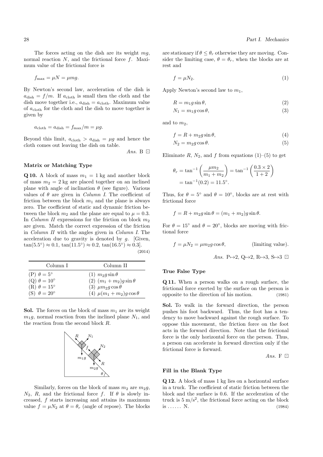The forces acting on the dish are its weight *mg*, normal reaction *N*, and the frictional force *f*. Maximum value of the frictional force is

$$
f_{\max} = \mu N = \mu mg.
$$

By Newton's second law, acceleration of the dish is  $a_{\text{dish}} = f/m$ . If  $a_{\text{cloth}}$  is small then the cloth and the dish move together i.e.,  $a_{\text{dish}} = a_{\text{cloth}}$ . Maximum value of *a*cloth for the cloth and the dish to move together is given by

$$
a_{\text{cloth}} = a_{\text{dish}} = f_{\text{max}}/m = \mu g.
$$

Beyond this limit,  $a_{\text{cloth}} > a_{\text{dish}} = \mu g$  and hence the cloth comes out leaving the dish on table.

*Ans.* B

#### Matrix or Matching Type

**Q 10.** A block of mass  $m_1 = 1$  kg and another block of mass  $m_2 = 2$  kg are placed together on an inclined plane with angle of inclination  $\theta$  (see figure). Various values of  $\theta$  are given in *Column I*. The coefficient of friction between the block  $m_1$  and the plane is always zero. The coefficient of static and dynamic friction between the block  $m_2$  and the plane are equal to  $\mu = 0.3$ . In *Column II* expressions for the friction on block  $m_2$ are given. Match the correct expression of the friction in *Column II* with the angles given in *Column I*. The acceleration due to gravity is denoted by *g*. [Given,  $\tan(5.5^{\circ}) \approx 0.1$ ,  $\tan(11.5^{\circ}) \approx 0.2$ ,  $\tan(16.5^{\circ}) \approx 0.3$ . (2014)

| Column I                   | Column II                      |
|----------------------------|--------------------------------|
| $(P)$ $\theta = 5^{\circ}$ | $(1)$ $m_2 g \sin \theta$      |
| (Q) $\theta = 10^{\circ}$  | (2) $(m_1 + m_2)g \sin \theta$ |
| $(R) \theta = 15^{\circ}$  | (3) $\mu m_2 g \cos \theta$    |
| (S) $\theta = 20^{\circ}$  | (4) $\mu(m_1+m_2)g\cos\theta$  |

**Sol.** The forces on the block of mass  $m_1$  are its weight  $m_1g$ , normal reaction from the inclined plane  $N_1$ , and the reaction from the second block *R*.



Similarly, forces on the block of mass  $m_2$  are  $m_2q$ ,  $N_2$ , *R*, and the frictional force *f*. If  $\theta$  is slowly increased, *f* starts increasing and attains its maximum value  $f = \mu N_2$  at  $\theta = \theta_r$  (angle of repose). The blocks are stationary if  $\theta \leq \theta_r$  otherwise they are moving. Consider the limiting case,  $\theta = \theta_r$ , when the blocks are at rest and

$$
f = \mu N_2. \tag{1}
$$

Apply Newton's second law to *m*1,

$$
R = m_1 g \sin \theta,\tag{2}
$$

$$
N_1 = m_1 g \cos \theta,\tag{3}
$$

and to  $m_2$ ,

$$
f = R + m_2 g \sin \theta,\tag{4}
$$

$$
N_2 = m_2 g \cos \theta. \tag{5}
$$

Eliminate  $R$ ,  $N_2$ , and  $f$  from equations (1)–(5) to get

$$
\theta_r = \tan^{-1} \left( \frac{\mu m_2}{m_1 + m_2} \right) = \tan^{-1} \left( \frac{0.3 \times 2}{1 + 2} \right)
$$

$$
= \tan^{-1} (0.2) = 11.5^\circ.
$$

Thus, for  $\theta = 5^{\circ}$  and  $\theta = 10^{\circ}$ , blocks are at rest with frictional force

$$
f = R + m_2 g \sin \theta = (m_1 + m_2) g \sin \theta.
$$

For  $\theta = 15^{\circ}$  and  $\theta = 20^{\circ}$ , blocks are moving with frictional force

$$
f = \mu N_2 = \mu m_2 g \cos \theta, \qquad \text{(limiting value)}.
$$

*Ans.* P $\mapsto$ 2, Q $\mapsto$ 2, R $\mapsto$ 3, S $\mapsto$ 3  $\Box$ 

### True False Type

Q 11. When a person walks on a rough surface, the frictional force exerted by the surface on the person is opposite to the direction of his motion. (1981)

Sol. To walk in the forward direction, the person pushes his foot backward. Thus, the foot has a tendency to move backward against the rough surface. To oppose this movement, the friction force on the foot acts in the forward direction. Note that the frictional force is the only horizontal force on the person. Thus, a person can accelerate in forward direction only if the frictional force is forward.

Ans.  $F \nightharpoonup$ 

## Fill in the Blank Type

Q 12. A block of mass 1 kg lies on a horizontal surface in a truck. The coefficient of static friction between the block and the surface is 0*.*6. If the acceleration of the truck is  $5 \text{ m/s}^2$ , the frictional force acting on the block is ...... N.  $(1984)$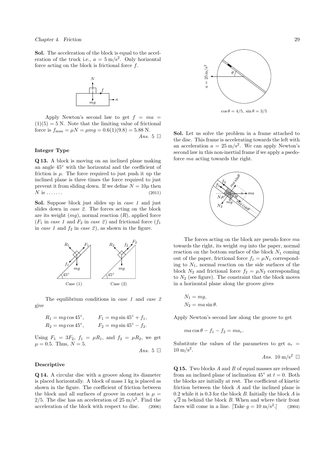*Chapter 4. Friction* 29

Sol. The acceleration of the block is equal to the acceleration of the truck i.e.,  $a = 5 \text{ m/s}^2$ . Only horizontal force acting on the block is frictional force *f*.



Apply Newton's second law to get  $f = ma$  $(1)(5) = 5$  N. Note that the limiting value of frictional force is  $f_{\text{max}} = \mu N = \mu mg = 0.6(1)(9.8) = 5.88 \text{ N}.$ 

*Ans.* 5

#### Integer Type

Q 13. A block is moving on an inclined plane making an angle  $45^{\circ}$  with the horizontal and the coefficient of friction is  $\mu$ . The force required to just push it up the inclined plane is three times the force required to just prevent it from sliding down. If we define  $N = 10\mu$  then *N* is . . . . . . . (2011)

Sol. Suppose block just slides up in *case 1* and just slides down in *case 2*. The forces acting on the block are its weight (*mg*), normal reaction (*R*), applied force  $(F_1 \text{ in } case 1 \text{ and } F_2 \text{ in } case 2)$  and frictional force  $(f_1$ in *case 1* and  $f_2$  in *case 2*), as shown in the figure.



The equilibrium conditions in *case 1* and *case 2* give

$$
R_1 = mg \cos 45^\circ
$$
,  $F_1 = mg \sin 45^\circ + f_1$ ,  
\n $R_2 = mg \cos 45^\circ$ ,  $F_2 = mg \sin 45^\circ - f_2$ .

Using  $F_1 = 3F_2$ ,  $f_1 = \mu R_1$ , and  $f_2 = \mu R_2$ , we get  $\mu = 0.5$ . Thus,  $N = 5$ . *Ans.* 5

## Descriptive

Q 14. A circular disc with a groove along its diameter is placed horizontally. A block of mass 1 kg is placed as shown in the figure. The coefficient of friction between the block and all surfaces of groove in contact is  $\mu =$ 2*/*5. The disc has an acceleration of 25 m*/*s<sup>2</sup>. Find the acceleration of the block with respect to disc. (2006)



Sol. Let us solve the problem in a frame attached to the disc. This frame is accelerating towards the left with an acceleration  $a = 25 \text{ m/s}^2$ . We can apply Newton's second law in this non-inertial frame if we apply a psedoforce *ma* acting towards the right.



The forces acting on the block are pseudo force *ma* towards the right, its weight *mg* into the paper, normal reaction on the bottom surface of the block  $N_1$  coming out of the paper, frictional force  $f_1 = \mu N_1$  corresponding to  $N_1$ , normal reaction on the side surfaces of the block  $N_2$  and frictional force  $f_2 = \mu N_2$  corresponding to  $N_2$  (see figure). The constraint that the block moves in a horizontal plane along the groove gives

$$
N_1 = mg,
$$
  

$$
N_2 = ma\sin\theta.
$$

Apply Newton's second law along the groove to get

$$
ma\cos\theta - f_1 - f_2 = ma_r.
$$

Substitute the values of the parameters to get  $a_r$  =  $10 \text{ m/s}^2$ .

*Ans.*  $10 \text{ m/s}^2 \quad \Box$ 

Q 15. Two blocks *A* and *B* of equal masses are released from an inclined plane of inclination  $45^{\circ}$  at  $t = 0$ . Both the blocks are initially at rest. The coefficient of kinetic friction between the block *A* and the inclined plane is 0.2 while it is 0.3 for the block *B*. Initially the block *A* is  $\sqrt{2}$  m behind the block *B*. When and where their front faces will come in a line. [Take  $g = 10 \text{ m/s}^2$ .] (2004)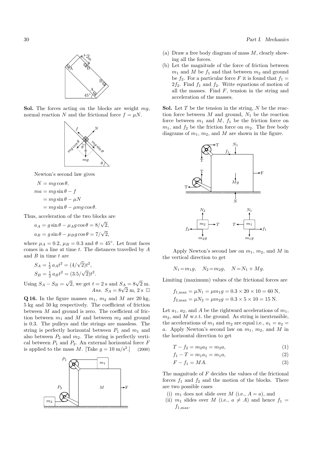30 *Part I. Mechanics*

i (2) A A B B  $45^{\circ}$ 

Sol. The forces acting on the blocks are weight *mg*, normal reaction *N* and the frictional force  $f = \mu N$ .



Newton's second law gives

$$
N = mg \cos \theta,
$$
  
\n
$$
ma = mg \sin \theta - f
$$
  
\n
$$
= mg \sin \theta - \mu N
$$
  
\n
$$
= mg \sin \theta - \mu mg \cos \theta.
$$

Thus, acceleration of the two blocks are

$$
a_A = g \sin \theta - \mu_A g \cos \theta = 8/\sqrt{2},
$$
  

$$
a_B = g \sin \theta - \mu_B g \cos \theta = 7/\sqrt{2},
$$

where  $\mu_A = 0.2$ ,  $\mu_B = 0.3$  and  $\theta = 45^{\circ}$ . Let front faces comes in a line at time *t*. The distances travelled by *A* and *B* in time *t* are

$$
S_A = \frac{1}{2} a_A t^2 = (4/\sqrt{2})t^2,
$$
  
\n
$$
S_B = \frac{1}{2} a_B t^2 = (3.5/\sqrt{2})t^2.
$$

Using  $S_A - S_B = \sqrt{2}$ , we get  $t = 2$  s and  $S_A = 8\sqrt{2}$  m. *Ans.*  $S_A = 8\sqrt{2}$  m, 2 s  $\Box$ 

**Q 16.** In the figure masses  $m_1$ ,  $m_2$  and  $M$  are 20 kg, 5 kg and 50 kg respectively. The coefficient of friction between  $M$  and ground is zero. The coefficient of friction between  $m_1$  and  $M$  and between  $m_2$  and ground is 0*.*3. The pulleys and the strings are massless. The string is perfectly horizontal between  $P_1$  and  $m_1$  and also between  $P_2$  and  $m_2$ . The string is perfectly vertical between  $P_1$  and  $P_2$ . An external horizontal force  $F$ is applied to the mass *M*. [Take  $q = 10 \text{ m/s}^2$ .] (2000)



- (a) Draw a free body diagram of mass *M*, clearly showing all the forces.
- (b) Let the magnitude of the force of friction between  $m_1$  and *M* be  $f_1$  and that between  $m_2$  and ground be  $f_2$ . For a particular force *F* it is found that  $f_1 =$  $2f_2$ . Find  $f_1$  and  $f_2$ . Write equations of motion of all the masses. Find  $F$ , tension in the string and acceleration of the masses.

Sol. Let *T* be the tension in the string, *N* be the reaction force between  $M$  and ground,  $N_1$  be the reaction force between  $m_1$  and  $M$ ,  $f_1$  be the friction force on  $m_1$ , and  $f_2$  be the friction force on  $m_2$ . The free body diagrams of *m*1, *m*2, and *M* are shown in the figure.



Apply Newton's second law on *m*1, *m*2, and *M* in the vertical direction to get

$$
N_1 = m_1 g, \quad N_2 = m_2 g, \quad N = N_1 + Mg.
$$

Limiting (maximum) values of the frictional forces are

$$
f_{1,\text{max}} = \mu N_1 = \mu m_1 g = 0.3 \times 20 \times 10 = 60 \text{ N},
$$
  
\n $f_{2,\text{max}} = \mu N_2 = \mu m_2 g = 0.3 \times 5 \times 10 = 15 \text{ N}.$ 

Let  $a_1$ ,  $a_2$ , and A be the rightward accelerations of  $m_1$ ,  $m_2$ , and  $M$  w.r.t. the ground. As string is inextensible, the accelerations of  $m_1$  and  $m_2$  are equal i.e.,  $a_1 = a_2$ *a*. Apply Newton's second law on *m*1, *m*2, and *M* in the horizontal direction to get

$$
T - f_2 = m_2 a_2 = m_2 a,\t\t(1)
$$

$$
f_1 - T = m_1 a_1 = m_1 a,\t\t(2)
$$

$$
F - f_1 = MA. \tag{3}
$$

The magnitude of *F* decides the values of the frictional forces  $f_1$  and  $f_2$  and the motion of the blocks. There are two possible cases

- (i)  $m_1$  does not slide over *M* (i.e.,  $A = a$ ), and
- (ii)  $m_1$  slides over *M* (i.e.,  $a \neq A$ ) and hence  $f_1 =$  $f_{1,\text{max}}$ .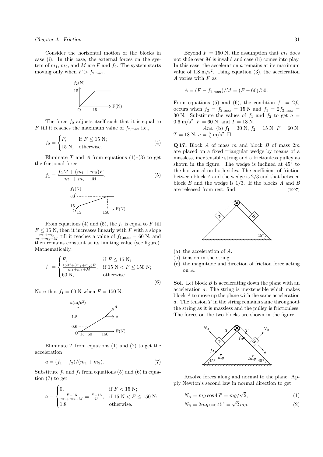#### *Chapter 4. Friction* 31

Consider the horizontal motion of the blocks in case (i). In this case, the external forces on the system of  $m_1$ ,  $m_2$ , and  $M$  are  $F$  and  $f_2$ . The system starts moving only when  $F > f_{2,\text{max}}$ .



The force  $f_2$  adjusts itself such that it is equal to *F* till it reaches the maximum value of  $f_{2,\text{max}}$  i.e.,

$$
f_2 = \begin{cases} F, & \text{if } F \le 15 \text{ N;} \\ 15 \text{ N}, & \text{otherwise.} \end{cases} \tag{4}
$$

Eliminate  $T$  and  $\tilde{A}$  from equations  $(1)$ – $(3)$  to get the frictional force

$$
f_1 = \frac{f_2 M + (m_1 + m_2)F}{m_1 + m_2 + M}.
$$
\n(5)  
\n
$$
f_1(N)
$$
\n(6)  
\n15  
\n150\nF(N)

From equations (4) and (5), the  $f_1$  is equal to  $F$  till  $F \le 15$  N, then it increases linearly with *F* with a slope  $\frac{m_1+m_2}{m_1+m_2+M}$  till it reaches a value of  $f_{1,\text{max}}=60$  N, and then remains constant at its limiting value (see figure). Mathematically,

$$
f_1 = \begin{cases} F, & \text{if } F \le 15 \text{ N}; \\ \frac{15M + (m_1 + m_2)F}{m_1 + m_2 + M}, & \text{if } 15 \text{ N} < F \le 150 \text{ N}; \\ 60 \text{ N}, & \text{otherwise.} \end{cases} \tag{6}
$$

Note that  $f_1 = 60$  N when  $F = 150$  N.



Eliminate *T* from equations (1) and (2) to get the acceleration

$$
a = (f_1 - f_2)/(m_1 + m_2). \tag{7}
$$

Substitute  $f_2$  and  $f_1$  from equations (5) and (6) in equation (7) to get

$$
a = \begin{cases} 0, & \text{if } F < 15 \text{ N}; \\ \frac{F-15}{m_1+m_2+M} = \frac{F-15}{75}, & \text{if } 15 \text{ N} < F \leq 150 \text{ N}; \\ 1.8 & \text{otherwise}. \end{cases}
$$

Beyond  $F = 150$  N, the assumption that  $m_1$  does not slide over *M* is invalid and case (ii) comes into play. In this case, the acceleration *a* remains at its maximum value of  $1.8 \text{ m/s}^2$ . Using equation (3), the acceleration *A* varies with *F* as

$$
A = (F - f_{1,\text{max}})/M = (F - 60)/50.
$$

From equations (5) and (6), the condition  $f_1 = 2f_2$ occurs when  $f_2 = f_{2,\text{max}} = 15 \text{ N}$  and  $f_1 = 2f_{2,\text{max}} =$ 30 N. Substitute the values of  $f_1$  and  $f_2$  to get  $a =$ 0.6 m/s<sup>2</sup>,  $F = 60$  N, and  $T = 18$  N.

*Ans.* (b) 
$$
f_1 = 30 \text{ N}, f_2 = 15 \text{ N}, F = 60 \text{ N}, T = 18 \text{ N}, a = \frac{3}{5} \text{ m/s}^2 \square
$$

Q 17. Block *A* of mass *m* and block *B* of mass 2*m* are placed on a fixed triangular wedge by means of a massless, inextensible string and a frictionless pulley as shown in the figure. The wedge is inclined at  $45^{\circ}$  to the horizontal on both sides. The coefficient of friction between block *A* and the wedge is 2*/*3 and that between block *B* and the wedge is 1*/*3. If the blocks *A* and *B* are released from rest, find,  $(1997)$ 



- (a) the acceleration of *A*.
- (b) tension in the string.
- (c) the magnitude and direction of friction force acting on *A*.

Sol. Let block *B* is accelerating down the plane with an acceleration *a*. The string is inextensible which makes block *A* to move up the plane with the same acceleration *a*. The tension *T* in the string remains same throughout the string as it is massless and the pulley is frictionless. The forces on the two blocks are shown in the figure.



Resolve forces along and normal to the plane. Apply Newton's second law in normal direction to get

$$
N_{\rm A} = mg\cos 45^{\circ} = mg/\sqrt{2},\tag{1}
$$

$$
N_{\rm B} = 2mg\cos 45^\circ = \sqrt{2} mg. \tag{2}
$$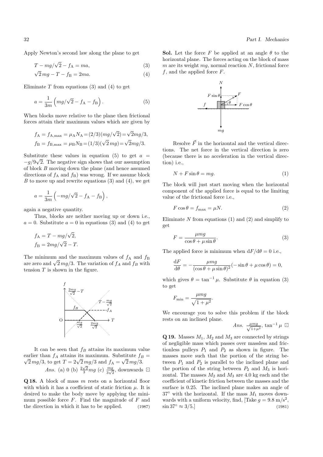Apply Newton's second law along the plane to get

$$
T - mg/\sqrt{2} - f_A = ma,\t\t(3)
$$

$$
\sqrt{2}mg - T - f_{\rm B} = 2ma.\tag{4}
$$

Eliminate  $T$  from equations  $(3)$  and  $(4)$  to get

$$
a = \frac{1}{3m} \left( mg/\sqrt{2} - f_A - f_B \right). \tag{5}
$$

When blocks move relative to the plane then frictional forces attain their maximum values which are given by

$$
f_{\rm A} = f_{\rm A,max} = \mu_{\rm A} N_{\rm A} = (2/3)(mg/\sqrt{2}) = \sqrt{2}mg/3,
$$
  
\n
$$
f_{\rm B} = f_{\rm B,max} = \mu_{\rm B} N_{\rm B} = (1/3)(\sqrt{2}mg) = \sqrt{2}mg/3.
$$

Substitute these values in equation (5) to get  $a =$  $-g/9\sqrt{2}$ . The negative sign shows that our assumption of block *B* moving down the plane (and hence assumed directions of  $f_A$  and  $f_B$ ) was wrong. If we assume block *B* to move up and rewrite equations (3) and (4), we get

$$
a = \frac{1}{3m} \left( -mg/\sqrt{2} - f_{A} - f_{B} \right),
$$

again a negative quantity.

Thus, blocks are neither moving up or down i.e.,  $a = 0$ . Substitute  $a = 0$  in equations (3) and (4) to get

$$
f_{\rm A} = T - mg/\sqrt{2},
$$
  
\n
$$
f_{\rm B} = 2mg/\sqrt{2} - T.
$$

The minimum and the maximum values of  $f_A$  and  $f_B$ are zero and  $\sqrt{2} mg/3$ . The variation of  $f_A$  and  $f_B$  with tension *T* is shown in the figure.



It can be seen that  $f_B$  attains its maximum value earlier than  $f_A$  attains its maximum. Substitute  $f_B =$  $\sqrt{2} mg/3$ , to get  $T = 2\sqrt{2} mg/3$  and  $f_A = \sqrt{2} mg/3$ . *Ans.* (a) 0 (b)  $\frac{2\sqrt{2}}{3}mg$  (c)  $\frac{mg}{3\sqrt{2}}$ , downwards  $\Box$ 

Q 18. A block of mass *m* rests on a horizontal floor with which it has a coefficient of static friction  $\mu$ . It is desired to make the body move by applying the minimum possible force *F*. Find the magnitude of *F* and the direction in which it has to be applied. (1987) **Sol.** Let the force *F* be applied at an angle  $\theta$  to the horizontal plane. The forces acting on the block of mass *m* are its weight *mg*, normal reaction *N*, frictional force *f*, and the applied force *F*.



Resolve  $\vec{F}$  in the horizontal and the vertical directions. The net force in the vertical direction is zero (because there is no acceleration in the vertical direction) i.e.,

$$
N + F\sin\theta = mg.\tag{1}
$$

The block will just start moving when the horizontal component of the applied force is equal to the limiting value of the frictional force i.e.,

$$
F\cos\theta = f_{\text{max}} = \mu N. \tag{2}
$$

Eliminate *N* from equations (1) and (2) and simplify to get

$$
F = \frac{\mu mg}{\cos \theta + \mu \sin \theta}.
$$
\n(3)

The applied force is minimum when  $dF/d\theta = 0$  i.e.,

$$
\frac{\mathrm{d}F}{\mathrm{d}\theta} = -\frac{\mu mg}{(\cos\theta + \mu\sin\theta)^2}(-\sin\theta + \mu\cos\theta) = 0,
$$

which gives  $\theta = \tan^{-1} \mu$ . Substitute  $\theta$  in equation (3) to get

$$
F_{\min} = \frac{\mu mg}{\sqrt{1 + \mu^2}}.
$$

We encourage you to solve this problem if the block rests on an inclined plane.

Ans. 
$$
\frac{\mu mg}{\sqrt{1+\mu^2}}
$$
,  $\tan^{-1}\mu$ 

Q 19. Masses *M*1, *M*<sup>2</sup> and *M*<sup>3</sup> are connected by strings of negligible mass which passes over massless and frictionless pulleys  $P_1$  and  $P_2$  as shown in figure. The masses move such that the portion of the string between  $P_1$  and  $P_2$  is parallel to the inclined plane and the portion of the string between  $P_2$  and  $M_3$  is horizontal. The masses  $M_2$  and  $M_3$  are 4.0 kg each and the coefficient of kinetic friction between the masses and the surface is 0*.*25. The inclined plane makes an angle of  $37^{\circ}$  with the horizontal. If the mass  $M_1$  moves downwards with a uniform velocity, find,  $\text{Take } g = 9.8 \text{ m/s}^2$ ,  $\sin 37^{\circ} \approx 3/5.$  (1981)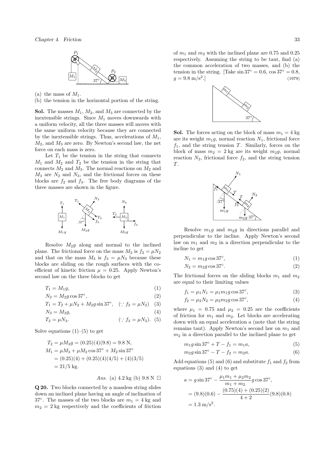

(a) the mass of  $M_1$ .

#### (b) the tension in the horizontal portion of the string.

**Sol.** The masses  $M_1$ ,  $M_2$ , and  $M_3$  are connected by the inextensible strings. Since  $M_1$  moves downwards with a uniform velocity, all the three masses will moves with the same uniform velocity because they are connected by the inextensible strings. Thus, accelerations of  $M_1$ ,  $M_2$ , and  $M_3$  are zero. By Newton's second law, the net force on each mass is zero.

Let  $T_1$  be the tension in the string that connects  $M_1$  and  $M_2$  and  $T_2$  be the tension in the string that connects  $M_2$  and  $M_3$ . The normal reactions on  $M_2$  and  $M_3$  are  $N_2$  and  $N_3$ , and the frictional forces on these blocks are  $f_2$  and  $f_3$ . The free body diagrams of the three masses are shown in the figure.



Resolve *M*2*g* along and normal to the inclined plane. The frictional force on the mass  $M_2$  is  $f_2 = \mu N_2$ and that on the mass  $M_3$  is  $f_3 = \mu N_3$  because these blocks are sliding on the rough surfaces with the coefficient of kinetic friction  $\mu = 0.25$ . Apply Newton's second law on the three blocks to get

$$
T_1 = M_1 g,\tag{1}
$$

$$
N_2 = M_2 g \cos 37^\circ,\tag{2}
$$

$$
T_1 = T_2 + \mu N_2 + M_2 g \sin 37^\circ, \quad (\because f_2 = \mu N_2) \quad (3)
$$

$$
N_3 = M_3 g,\tag{4}
$$

$$
T_2 = \mu N_3. \qquad (\because f_3 = \mu N_3). \tag{5}
$$

Solve equations  $(1)$ – $(5)$  to get

$$
T_2 = \mu M_3 g = (0.25)(4)(9.8) = 9.8 \text{ N},
$$
  
\n
$$
M_1 = \mu M_3 + \mu M_2 \cos 37^\circ + M_2 \sin 37^\circ
$$
  
\n
$$
= (0.25)(4) + (0.25)(4)(4/5) + (4)(3/5)
$$
  
\n
$$
= 21/5 \text{ kg}.
$$

*Ans.* (a) 4*.*2 kg (b) 9*.*8 N

Q 20. Two blocks connected by a massless string slides down an inclined plane having an angle of inclination of 37°. The masses of the two blocks are  $m_1 = 4$  kg and  $m_2 = 2$  kg respectively and the coefficients of friction

of  $m_1$  and  $m_2$  with the inclined plane are 0.75 and 0.25 respectively. Assuming the string to be taut, find (a) the common acceleration of two masses, and (b) the tension in the string. [Take  $\sin 37^\circ = 0.6$ ,  $\cos 37^\circ = 0.8$ ,  $q = 9.8 \text{ m/s}^2.$  (1979)



**Sol.** The forces acting on the block of mass  $m_1 = 4$  kg are its weight  $m_1g$ , normal reaction  $N_1$ , frictional force *f*1, and the string tension *T*. Similarly, forces on the block of mass  $m_2 = 2$  kg are its weight  $m_2g$ , normal reaction  $N_2$ , frictional force  $f_2$ , and the string tension *T*.



Resolve *m*1*g* and *m*2*g* in directions parallel and perpendicular to the incline. Apply Newton's second law on *m*<sup>1</sup> and *m*<sup>2</sup> in a direction perpendicular to the incline to get

$$
N_1 = m_1 g \cos 37^\circ,\tag{1}
$$

$$
N_2 = m_2 g \cos 37^\circ. \tag{2}
$$

The frictional forces on the sliding blocks  $m_1$  and  $m_2$ are equal to their limiting values

$$
f_1 = \mu_1 N_1 = \mu_1 m_1 g \cos 37^\circ, \tag{3}
$$

$$
f_2 = \mu_2 N_2 = \mu_2 m_2 g \cos 37^\circ,
$$
 (4)

where  $\mu_1 = 0.75$  and  $\mu_2 = 0.25$  are the coefficients of friction for *m*<sup>1</sup> and *m*2. Let blocks are accelerating down with an equal acceleration *a* (note that the string remains taut). Apply Newton's second law on  $m_1$  and  $m<sub>2</sub>$  in a direction parallel to the inclined plane to get

$$
m_1 g \sin 37^\circ + T - f_1 = m_1 a,\tag{5}
$$

$$
m_2 g \sin 37^\circ - T - f_2 = m_2 a. \tag{6}
$$

Add equations  $(5)$  and  $(6)$  and substitute  $f_1$  and  $f_2$  from equations (3) and (4) to get

$$
a = g \sin 37^{\circ} - \frac{\mu_1 m_1 + \mu_2 m_2}{m_1 + m_2} g \cos 37^{\circ},
$$
  
= (9.8)(0.6) -  $\frac{(0.75)(4) + (0.25)(2)}{4 + 2}$ (9.8)(0.8)  
= 1.3 m/s<sup>2</sup>.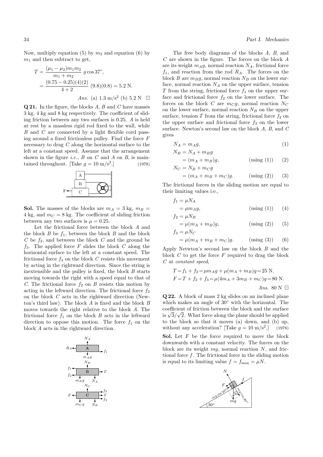Now, multiply equation (5) by  $m_2$  and equation (6) by  $m_1$  and then subtract to get,

$$
T = \frac{(\mu_1 - \mu_2)m_1m_2}{m_1 + m_2} g \cos 37^\circ,
$$
  
= 
$$
\frac{(0.75 - 0.25)(4)(2)}{4 + 2} (9.8)(0.8) = 5.2 \text{ N}.
$$
  
Ans. (a) 1.3 m/s<sup>2</sup> (b) 5.2 N

Q 21. In the figure, the blocks *A*, *B* and *C* have masses 3 kg, 4 kg and 8 kg respectively. The coefficient of sliding friction between any two surfaces is 0*.*25. *A* is held at rest by a massless rigid rod fixed to the wall, while *B* and *C* are connected by a light flexible cord passing around a fixed frictionless pulley. Find the force *F* necessary to drag *C* along the horizontal surface to the left at a constant speed. Assume that the arrangement shown in the figure *i.e.*, *B* on *C* and *A* on *B*, is maintained throughout. [Take  $g = 10 \text{ m/s}^2$ .] (1978)



**Sol.** The masses of the blocks are  $m_A = 3$  kg,  $m_B =$ 4 kg, and  $m_C = 8$  kg. The coefficient of sliding friction between any two surfaces is  $\mu = 0.25$ .

Let the frictional force between the block *A* and the block  $B$  be  $f_1$ , between the block  $B$  and the block *C* be *f*2, and between the block *C* and the ground be *f*3. The applied force *F* slides the block *C* along the horizontal surface to the left at a constant speed. The frictional force  $f_3$  on the block  $C$  resists this movement by acting in the rightward direction. Since the string is inextensible and the pulley is fixed, the block *B* starts moving towards the right with a speed equal to that of *C*. The frictional force  $f_2$  on *B* resists this motion by acting in the leftward direction. The frictional force  $f_2$ on the block *C* acts in the rightward direction (Newton's third law). The block *A* is fixed and the block *B* moves towards the right relative to the block *A*. The frictional force  $f_1$  on the block  $B$  acts in the leftward direction to oppose this motion. The force  $f_1$  on the block *A* acts in the rightward direction.



The free body diagrams of the blocks *A*, *B*, and *C* are shown in the figure. The forces on the block *A* are its weight  $m_A g$ , normal reaction  $N_A$ , frictional force  $f_1$ , and reaction from the rod  $R_A$ . The forces on the block *B* are  $m_B g$ , normal reaction  $N_B$  on the lower surface, normal reaction  $N_A$  on the upper surface, tension *T* from the string, frictional force  $f_1$  on the upper surface and frictional force  $f_2$  on the lower surface. The forces on the block *C* are  $m_C g$ , normal reaction  $N_C$ on the lower surface, normal reaction  $N_B$  on the upper surface, tension  $T$  from the string, frictional force  $f_2$  on the upper surface and frictional force  $f_3$  on the lower surface. Newton's second law on the block *A*, *B*, and *C* gives

$$
N_A = m_A g,\tag{1}
$$

$$
N_B = N_A + m_B g
$$
  
=  $(m_A + m_B)g$ , (using (1)) (2)

$$
N_C = N_B + m_C g
$$

$$
= (m_A + m_B + m_C)g.
$$
 (using (2)) (3)

The frictional forces in the sliding motion are equal to their limiting values i.e.,

$$
f_1 = \mu N_A
$$
  
=  $\mu m_A g$ , (using (1)) (4)  

$$
f_2 = \mu N_B
$$

$$
= \mu(m_A + m_B)g,
$$
 (using (2)) (5)  

$$
f_3 = \mu N_C
$$

$$
= \mu(m_A + m_B + m_C)g. \qquad \text{(using (3))} \qquad (6)
$$

Apply Netwton's second law on the block *B* and the block *C* to get the force *F* required to drag the block *C* at *constant speed*,

$$
T = f_1 + f_2 = \mu m_A g + \mu (m_A + m_B) g = 25 \text{ N}.
$$
  

$$
F = T + f_2 + f_3 = \mu (4m_A + 3m_B + m_C) g = 80 \text{ N}.
$$
  
Ans. 80 N F

Q 22. A block of mass 2 kg slides on an inclined plane which makes an angle of  $30^{\circ}$  with the horizontal. The coefficient of friction between the block and the surface is  $\sqrt{3}/\sqrt{2}$ . What force along the plane should be applied to the block so that it moves (a) down, and (b) up, without any acceleration? [Take  $g = 10 \text{ m/s}^2$ .] (1978)

Sol. Let *F* be the force required to move the block downwards with a constant velocity. The forces on the block are its weight *mg*, normal reaction *N*, and frictional force *f*. The frictional force in the sliding motion is equal to its limiting value  $f = f_{\text{max}} = \mu N$ .